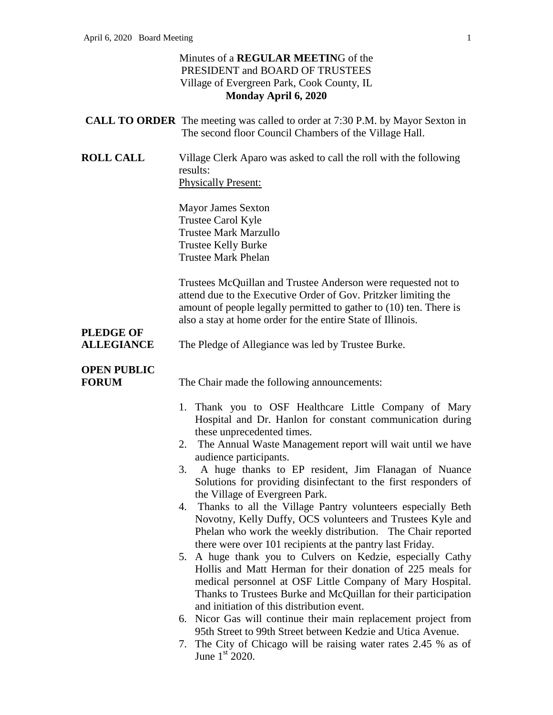### Minutes of a **REGULAR MEETIN**G of the PRESIDENT and BOARD OF TRUSTEES Village of Evergreen Park, Cook County, IL **Monday April 6, 2020**

|                                       | <b>CALL TO ORDER</b> The meeting was called to order at 7:30 P.M. by Mayor Sexton in<br>The second floor Council Chambers of the Village Hall.                                                                                                                                                                                                                                                                                                                                                                                                                                                                                                                                                                                                                                                                                                                                                                                                                                                                                                                                                                       |
|---------------------------------------|----------------------------------------------------------------------------------------------------------------------------------------------------------------------------------------------------------------------------------------------------------------------------------------------------------------------------------------------------------------------------------------------------------------------------------------------------------------------------------------------------------------------------------------------------------------------------------------------------------------------------------------------------------------------------------------------------------------------------------------------------------------------------------------------------------------------------------------------------------------------------------------------------------------------------------------------------------------------------------------------------------------------------------------------------------------------------------------------------------------------|
| <b>ROLL CALL</b>                      | Village Clerk Aparo was asked to call the roll with the following<br>results:<br><b>Physically Present:</b>                                                                                                                                                                                                                                                                                                                                                                                                                                                                                                                                                                                                                                                                                                                                                                                                                                                                                                                                                                                                          |
|                                       | <b>Mayor James Sexton</b><br>Trustee Carol Kyle<br><b>Trustee Mark Marzullo</b><br><b>Trustee Kelly Burke</b><br><b>Trustee Mark Phelan</b>                                                                                                                                                                                                                                                                                                                                                                                                                                                                                                                                                                                                                                                                                                                                                                                                                                                                                                                                                                          |
|                                       | Trustees McQuillan and Trustee Anderson were requested not to<br>attend due to the Executive Order of Gov. Pritzker limiting the<br>amount of people legally permitted to gather to (10) ten. There is<br>also a stay at home order for the entire State of Illinois.                                                                                                                                                                                                                                                                                                                                                                                                                                                                                                                                                                                                                                                                                                                                                                                                                                                |
| <b>PLEDGE OF</b><br><b>ALLEGIANCE</b> | The Pledge of Allegiance was led by Trustee Burke.                                                                                                                                                                                                                                                                                                                                                                                                                                                                                                                                                                                                                                                                                                                                                                                                                                                                                                                                                                                                                                                                   |
| <b>OPEN PUBLIC</b><br><b>FORUM</b>    | The Chair made the following announcements:                                                                                                                                                                                                                                                                                                                                                                                                                                                                                                                                                                                                                                                                                                                                                                                                                                                                                                                                                                                                                                                                          |
|                                       | 1. Thank you to OSF Healthcare Little Company of Mary<br>Hospital and Dr. Hanlon for constant communication during<br>these unprecedented times.<br>The Annual Waste Management report will wait until we have<br>2.<br>audience participants.<br>3. A huge thanks to EP resident, Jim Flanagan of Nuance<br>Solutions for providing disinfectant to the first responders of<br>the Village of Evergreen Park.<br>Thanks to all the Village Pantry volunteers especially Beth<br>Novotny, Kelly Duffy, OCS volunteers and Trustees Kyle and<br>Phelan who work the weekly distribution. The Chair reported<br>there were over 101 recipients at the pantry last Friday.<br>A huge thank you to Culvers on Kedzie, especially Cathy<br>5.<br>Hollis and Matt Herman for their donation of 225 meals for<br>medical personnel at OSF Little Company of Mary Hospital.<br>Thanks to Trustees Burke and McQuillan for their participation<br>and initiation of this distribution event.<br>6. Nicor Gas will continue their main replacement project from<br>95th Street to 99th Street between Kedzie and Utica Avenue. |
|                                       | 7. The City of Chicago will be raising water rates 2.45 % as of<br>June $1st 2020$ .                                                                                                                                                                                                                                                                                                                                                                                                                                                                                                                                                                                                                                                                                                                                                                                                                                                                                                                                                                                                                                 |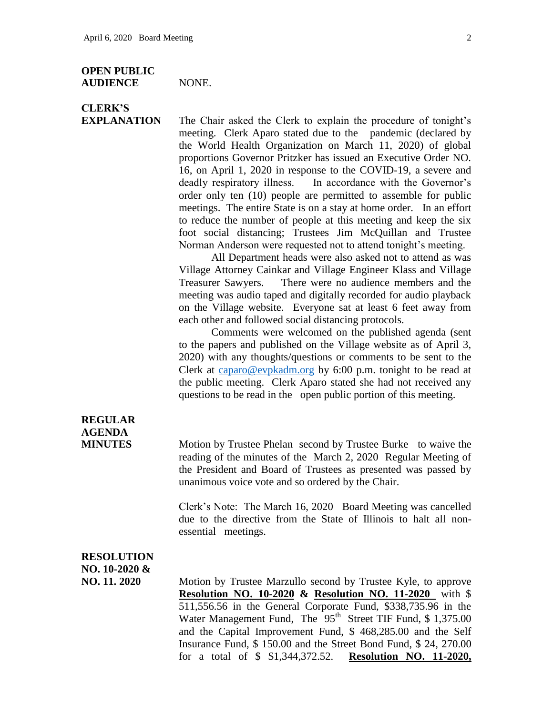#### **OPEN PUBLIC AUDIENCE** NONE.

# **CLERK'S**

**EXPLANATION** The Chair asked the Clerk to explain the procedure of tonight's meeting. Clerk Aparo stated due to the pandemic (declared by the World Health Organization on March 11, 2020) of global proportions Governor Pritzker has issued an Executive Order NO. 16, on April 1, 2020 in response to the COVID-19, a severe and deadly respiratory illness. In accordance with the Governor's order only ten (10) people are permitted to assemble for public meetings. The entire State is on a stay at home order. In an effort to reduce the number of people at this meeting and keep the six foot social distancing; Trustees Jim McQuillan and Trustee Norman Anderson were requested not to attend tonight's meeting.

> All Department heads were also asked not to attend as was Village Attorney Cainkar and Village Engineer Klass and Village Treasurer Sawyers. There were no audience members and the meeting was audio taped and digitally recorded for audio playback on the Village website. Everyone sat at least 6 feet away from each other and followed social distancing protocols.

> Comments were welcomed on the published agenda (sent to the papers and published on the Village website as of April 3, 2020) with any thoughts/questions or comments to be sent to the Clerk at [caparo@evpkadm.org](mailto:caparo@evpkadm.org) by 6:00 p.m. tonight to be read at the public meeting. Clerk Aparo stated she had not received any questions to be read in the open public portion of this meeting.

### **REGULAR AGENDA**

**MINUTES** Motion by Trustee Phelan second by Trustee Burke to waive the reading of the minutes of the March 2, 2020 Regular Meeting of the President and Board of Trustees as presented was passed by unanimous voice vote and so ordered by the Chair.

> Clerk's Note: The March 16, 2020 Board Meeting was cancelled due to the directive from the State of Illinois to halt all nonessential meetings.

## **RESOLUTION NO. 10-2020 &**

**NO. 11. 2020** Motion by Trustee Marzullo second by Trustee Kyle, to approve **Resolution NO. 10-2020 & Resolution NO. 11-2020** with \$ 511,556.56 in the General Corporate Fund, \$338,735.96 in the Water Management Fund, The 95<sup>th</sup> Street TIF Fund, \$1,375.00 and the Capital Improvement Fund, \$ 468,285.00 and the Self Insurance Fund, \$ 150.00 and the Street Bond Fund, \$ 24, 270.00 for a total of \$ \$1,344,372.52. **Resolution NO. 11-2020,**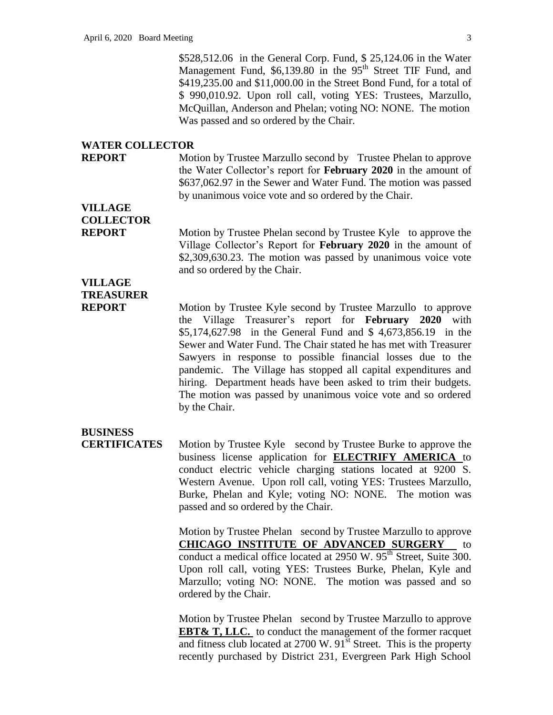\$528,512.06 in the General Corp. Fund, \$ 25,124.06 in the Water Management Fund, \$6,139.80 in the 95<sup>th</sup> Street TIF Fund, and \$419,235.00 and \$11,000.00 in the Street Bond Fund, for a total of \$ 990,010.92. Upon roll call, voting YES: Trustees, Marzullo, McQuillan, Anderson and Phelan; voting NO: NONE. The motion Was passed and so ordered by the Chair.

#### **WATER COLLECTOR**

**REPORT** Motion by Trustee Marzullo second by Trustee Phelan to approve the Water Collector's report for **February 2020** in the amount of \$637,062.97 in the Sewer and Water Fund. The motion was passed by unanimous voice vote and so ordered by the Chair.

**VILLAGE COLLECTOR**

**REPORT** Motion by Trustee Phelan second by Trustee Kyle to approve the Village Collector's Report for **February 2020** in the amount of \$2,309,630.23. The motion was passed by unanimous voice vote and so ordered by the Chair.

## **VILLAGE TREASURER**

**REPORT** Motion by Trustee Kyle second by Trustee Marzullo to approve the Village Treasurer's report for **February 2020** with \$5,174,627.98 in the General Fund and \$ 4,673,856.19 in the Sewer and Water Fund. The Chair stated he has met with Treasurer Sawyers in response to possible financial losses due to the pandemic. The Village has stopped all capital expenditures and hiring. Department heads have been asked to trim their budgets. The motion was passed by unanimous voice vote and so ordered by the Chair.

### **BUSINESS**

**CERTIFICATES** Motion by Trustee Kyle second by Trustee Burke to approve the business license application for **ELECTRIFY AMERICA** to conduct electric vehicle charging stations located at 9200 S. Western Avenue. Upon roll call, voting YES: Trustees Marzullo, Burke, Phelan and Kyle; voting NO: NONE. The motion was passed and so ordered by the Chair.

> Motion by Trustee Phelan second by Trustee Marzullo to approve **CHICAGO INSTITUTE OF ADVANCED SURGERY** to conduct a medical office located at  $2950 \text{ W}$ .  $95^{\text{th}}$  Street, Suite 300. Upon roll call, voting YES: Trustees Burke, Phelan, Kyle and Marzullo; voting NO: NONE. The motion was passed and so ordered by the Chair.

> Motion by Trustee Phelan second by Trustee Marzullo to approve **EBT& T, LLC.** to conduct the management of the former racquet and fitness club located at  $2700 \text{ W}$ .  $91^{\text{st}}$  Street. This is the property recently purchased by District 231, Evergreen Park High School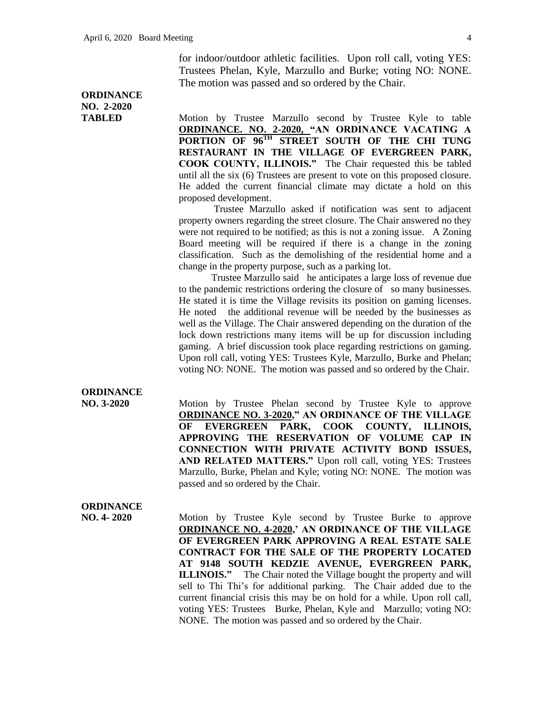for indoor/outdoor athletic facilities. Upon roll call, voting YES: Trustees Phelan, Kyle, Marzullo and Burke; voting NO: NONE. The motion was passed and so ordered by the Chair.

### **ORDINANCE NO. 2-2020**

**TABLED** Motion by Trustee Marzullo second by Trustee Kyle to table **ORDINANCE. NO. 2-2020, "AN ORDINANCE VACATING A PORTION OF 96TH STREET SOUTH OF THE CHI TUNG RESTAURANT IN THE VILLAGE OF EVERGREEN PARK, COOK COUNTY, ILLINOIS."** The Chair requested this be tabled until all the six (6) Trustees are present to vote on this proposed closure. He added the current financial climate may dictate a hold on this proposed development.

> Trustee Marzullo asked if notification was sent to adjacent property owners regarding the street closure. The Chair answered no they were not required to be notified; as this is not a zoning issue. A Zoning Board meeting will be required if there is a change in the zoning classification. Such as the demolishing of the residential home and a change in the property purpose, such as a parking lot.

> Trustee Marzullo said he anticipates a large loss of revenue due to the pandemic restrictions ordering the closure of so many businesses. He stated it is time the Village revisits its position on gaming licenses. He noted the additional revenue will be needed by the businesses as well as the Village. The Chair answered depending on the duration of the lock down restrictions many items will be up for discussion including gaming. A brief discussion took place regarding restrictions on gaming. Upon roll call, voting YES: Trustees Kyle, Marzullo, Burke and Phelan; voting NO: NONE. The motion was passed and so ordered by the Chair.

#### **ORDINANCE**

**NO. 3-2020** Motion by Trustee Phelan second by Trustee Kyle to approve **ORDINANCE NO. 3-2020," AN ORDINANCE OF THE VILLAGE OF EVERGREEN PARK, COOK COUNTY, ILLINOIS, APPROVING THE RESERVATION OF VOLUME CAP IN CONNECTION WITH PRIVATE ACTIVITY BOND ISSUES, AND RELATED MATTERS."** Upon roll call, voting YES: Trustees Marzullo, Burke, Phelan and Kyle; voting NO: NONE. The motion was passed and so ordered by the Chair.

### **ORDINANCE**

**NO. 4- 2020** Motion by Trustee Kyle second by Trustee Burke to approve **ORDINANCE NO. 4-2020,' AN ORDINANCE OF THE VILLAGE OF EVERGREEN PARK APPROVING A REAL ESTATE SALE CONTRACT FOR THE SALE OF THE PROPERTY LOCATED AT 9148 SOUTH KEDZIE AVENUE, EVERGREEN PARK, ILLINOIS."** The Chair noted the Village bought the property and will sell to Thi Thi's for additional parking. The Chair added due to the current financial crisis this may be on hold for a while. Upon roll call, voting YES: Trustees Burke, Phelan, Kyle and Marzullo; voting NO: NONE. The motion was passed and so ordered by the Chair.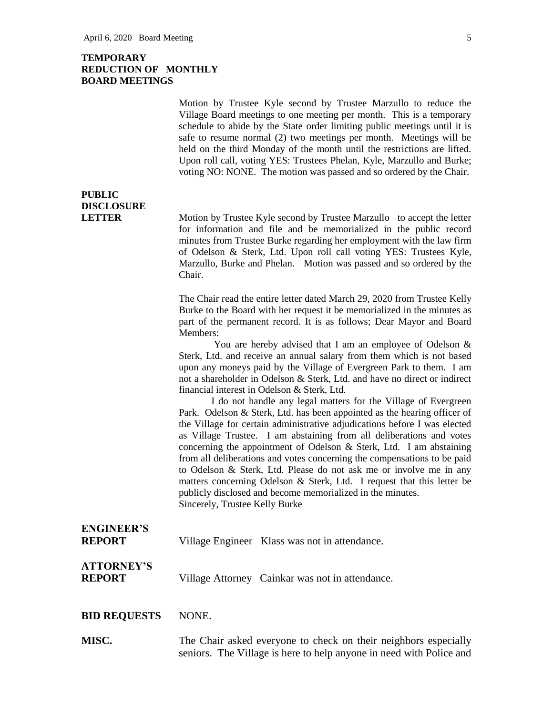#### **TEMPORARY REDUCTION OF MONTHLY BOARD MEETINGS**

Motion by Trustee Kyle second by Trustee Marzullo to reduce the Village Board meetings to one meeting per month. This is a temporary schedule to abide by the State order limiting public meetings until it is safe to resume normal (2) two meetings per month. Meetings will be held on the third Monday of the month until the restrictions are lifted. Upon roll call, voting YES: Trustees Phelan, Kyle, Marzullo and Burke; voting NO: NONE. The motion was passed and so ordered by the Chair.

### **PUBLIC DISCLOSURE**

**LETTER** Motion by Trustee Kyle second by Trustee Marzullo to accept the letter for information and file and be memorialized in the public record minutes from Trustee Burke regarding her employment with the law firm of Odelson & Sterk, Ltd. Upon roll call voting YES: Trustees Kyle, Marzullo, Burke and Phelan. Motion was passed and so ordered by the Chair.

> The Chair read the entire letter dated March 29, 2020 from Trustee Kelly Burke to the Board with her request it be memorialized in the minutes as part of the permanent record. It is as follows; Dear Mayor and Board Members:

> You are hereby advised that I am an employee of Odelson & Sterk, Ltd. and receive an annual salary from them which is not based upon any moneys paid by the Village of Evergreen Park to them. I am not a shareholder in Odelson & Sterk, Ltd. and have no direct or indirect financial interest in Odelson & Sterk, Ltd.

> I do not handle any legal matters for the Village of Evergreen Park. Odelson & Sterk, Ltd. has been appointed as the hearing officer of the Village for certain administrative adjudications before I was elected as Village Trustee. I am abstaining from all deliberations and votes concerning the appointment of Odelson & Sterk, Ltd. I am abstaining from all deliberations and votes concerning the compensations to be paid to Odelson & Sterk, Ltd. Please do not ask me or involve me in any matters concerning Odelson & Sterk, Ltd. I request that this letter be publicly disclosed and become memorialized in the minutes. Sincerely, Trustee Kelly Burke

### **ENGINEER'S REPORT** Village Engineer Klass was not in attendance.

### **ATTORNEY'S REPORT** Village Attorney Cainkar was not in attendance.

#### **BID REQUESTS** NONE.

**MISC.** The Chair asked everyone to check on their neighbors especially seniors. The Village is here to help anyone in need with Police and